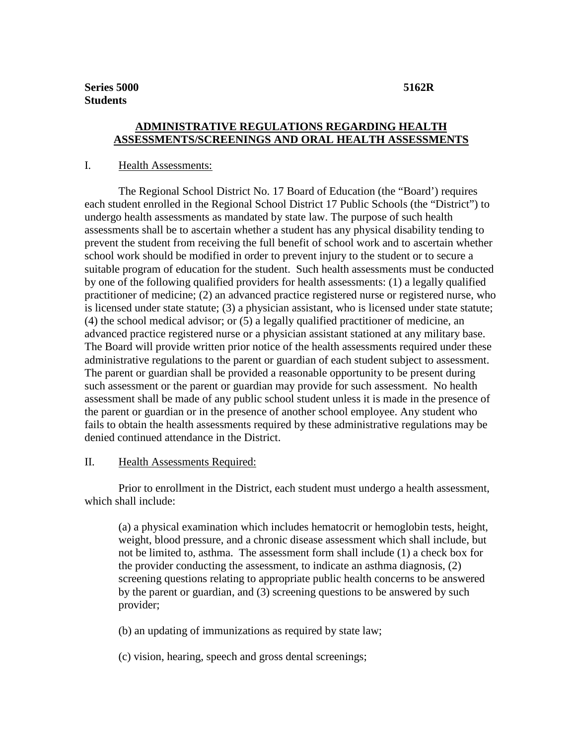# **ADMINISTRATIVE REGULATIONS REGARDING HEALTH ASSESSMENTS/SCREENINGS AND ORAL HEALTH ASSESSMENTS**

### I. Health Assessments:

The Regional School District No. 17 Board of Education (the "Board') requires each student enrolled in the Regional School District 17 Public Schools (the "District") to undergo health assessments as mandated by state law. The purpose of such health assessments shall be to ascertain whether a student has any physical disability tending to prevent the student from receiving the full benefit of school work and to ascertain whether school work should be modified in order to prevent injury to the student or to secure a suitable program of education for the student. Such health assessments must be conducted by one of the following qualified providers for health assessments: (1) a legally qualified practitioner of medicine; (2) an advanced practice registered nurse or registered nurse, who is licensed under state statute; (3) a physician assistant, who is licensed under state statute; (4) the school medical advisor; or (5) a legally qualified practitioner of medicine, an advanced practice registered nurse or a physician assistant stationed at any military base. The Board will provide written prior notice of the health assessments required under these administrative regulations to the parent or guardian of each student subject to assessment. The parent or guardian shall be provided a reasonable opportunity to be present during such assessment or the parent or guardian may provide for such assessment. No health assessment shall be made of any public school student unless it is made in the presence of the parent or guardian or in the presence of another school employee. Any student who fails to obtain the health assessments required by these administrative regulations may be denied continued attendance in the District.

#### II. Health Assessments Required:

Prior to enrollment in the District, each student must undergo a health assessment, which shall include:

(a) a physical examination which includes hematocrit or hemoglobin tests, height, weight, blood pressure, and a chronic disease assessment which shall include, but not be limited to, asthma. The assessment form shall include (1) a check box for the provider conducting the assessment, to indicate an asthma diagnosis, (2) screening questions relating to appropriate public health concerns to be answered by the parent or guardian, and (3) screening questions to be answered by such provider;

(b) an updating of immunizations as required by state law;

(c) vision, hearing, speech and gross dental screenings;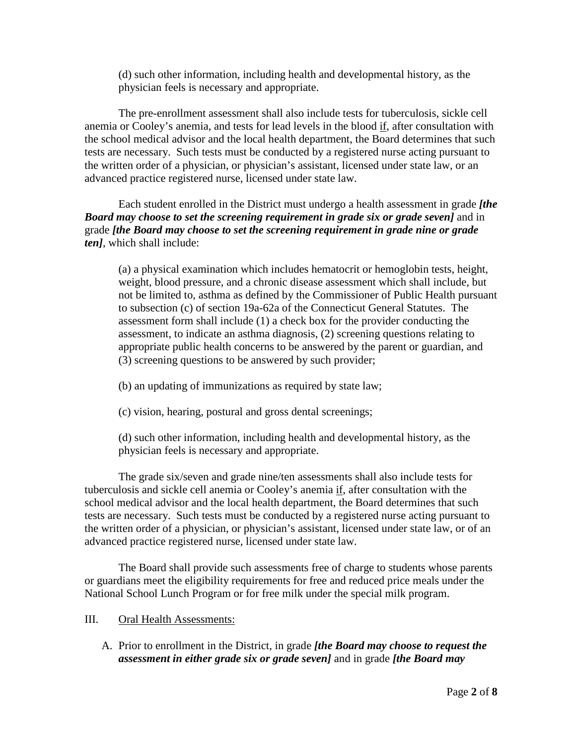(d) such other information, including health and developmental history, as the physician feels is necessary and appropriate.

The pre-enrollment assessment shall also include tests for tuberculosis, sickle cell anemia or Cooley's anemia, and tests for lead levels in the blood if, after consultation with the school medical advisor and the local health department, the Board determines that such tests are necessary. Such tests must be conducted by a registered nurse acting pursuant to the written order of a physician, or physician's assistant, licensed under state law, or an advanced practice registered nurse, licensed under state law.

Each student enrolled in the District must undergo a health assessment in grade *[the Board may choose to set the screening requirement in grade six or grade seven]* and in grade *[the Board may choose to set the screening requirement in grade nine or grade ten]*, which shall include:

(a) a physical examination which includes hematocrit or hemoglobin tests, height, weight, blood pressure, and a chronic disease assessment which shall include, but not be limited to, asthma as defined by the Commissioner of Public Health pursuant to subsection (c) of section 19a-62a of the Connecticut General Statutes. The assessment form shall include (1) a check box for the provider conducting the assessment, to indicate an asthma diagnosis, (2) screening questions relating to appropriate public health concerns to be answered by the parent or guardian, and (3) screening questions to be answered by such provider;

- (b) an updating of immunizations as required by state law;
- (c) vision, hearing, postural and gross dental screenings;

(d) such other information, including health and developmental history, as the physician feels is necessary and appropriate.

The grade six/seven and grade nine/ten assessments shall also include tests for tuberculosis and sickle cell anemia or Cooley's anemia if, after consultation with the school medical advisor and the local health department, the Board determines that such tests are necessary. Such tests must be conducted by a registered nurse acting pursuant to the written order of a physician, or physician's assistant, licensed under state law, or of an advanced practice registered nurse, licensed under state law.

The Board shall provide such assessments free of charge to students whose parents or guardians meet the eligibility requirements for free and reduced price meals under the National School Lunch Program or for free milk under the special milk program.

- III. Oral Health Assessments:
	- A. Prior to enrollment in the District, in grade *[the Board may choose to request the assessment in either grade six or grade seven]* and in grade *[the Board may*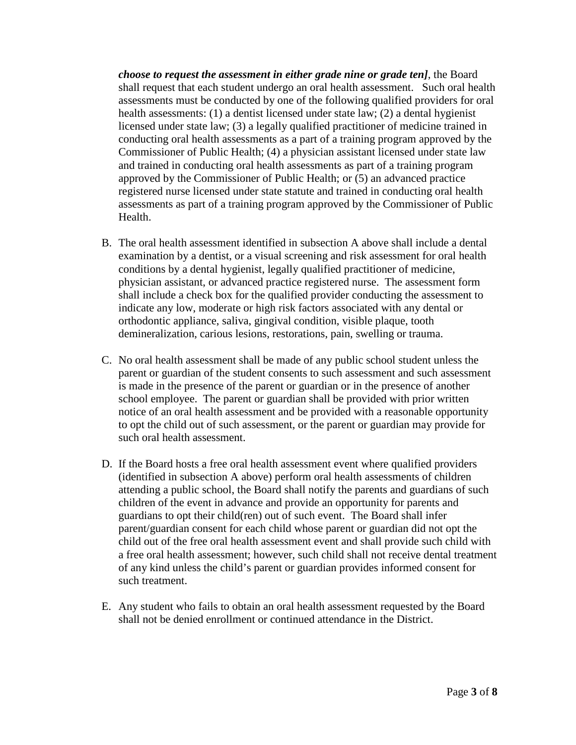*choose to request the assessment in either grade nine or grade ten]*, the Board shall request that each student undergo an oral health assessment. Such oral health assessments must be conducted by one of the following qualified providers for oral health assessments: (1) a dentist licensed under state law; (2) a dental hygienist licensed under state law; (3) a legally qualified practitioner of medicine trained in conducting oral health assessments as a part of a training program approved by the Commissioner of Public Health; (4) a physician assistant licensed under state law and trained in conducting oral health assessments as part of a training program approved by the Commissioner of Public Health; or (5) an advanced practice registered nurse licensed under state statute and trained in conducting oral health assessments as part of a training program approved by the Commissioner of Public Health.

- B. The oral health assessment identified in subsection A above shall include a dental examination by a dentist, or a visual screening and risk assessment for oral health conditions by a dental hygienist, legally qualified practitioner of medicine, physician assistant, or advanced practice registered nurse. The assessment form shall include a check box for the qualified provider conducting the assessment to indicate any low, moderate or high risk factors associated with any dental or orthodontic appliance, saliva, gingival condition, visible plaque, tooth demineralization, carious lesions, restorations, pain, swelling or trauma.
- C. No oral health assessment shall be made of any public school student unless the parent or guardian of the student consents to such assessment and such assessment is made in the presence of the parent or guardian or in the presence of another school employee. The parent or guardian shall be provided with prior written notice of an oral health assessment and be provided with a reasonable opportunity to opt the child out of such assessment, or the parent or guardian may provide for such oral health assessment.
- D. If the Board hosts a free oral health assessment event where qualified providers (identified in subsection A above) perform oral health assessments of children attending a public school, the Board shall notify the parents and guardians of such children of the event in advance and provide an opportunity for parents and guardians to opt their child(ren) out of such event. The Board shall infer parent/guardian consent for each child whose parent or guardian did not opt the child out of the free oral health assessment event and shall provide such child with a free oral health assessment; however, such child shall not receive dental treatment of any kind unless the child's parent or guardian provides informed consent for such treatment.
- E. Any student who fails to obtain an oral health assessment requested by the Board shall not be denied enrollment or continued attendance in the District.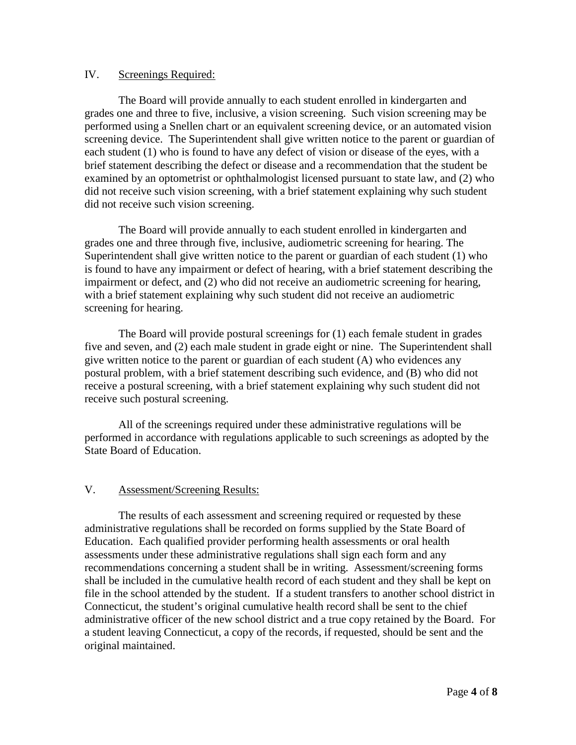## IV. Screenings Required:

The Board will provide annually to each student enrolled in kindergarten and grades one and three to five, inclusive, a vision screening. Such vision screening may be performed using a Snellen chart or an equivalent screening device, or an automated vision screening device. The Superintendent shall give written notice to the parent or guardian of each student (1) who is found to have any defect of vision or disease of the eyes, with a brief statement describing the defect or disease and a recommendation that the student be examined by an optometrist or ophthalmologist licensed pursuant to state law, and (2) who did not receive such vision screening, with a brief statement explaining why such student did not receive such vision screening.

The Board will provide annually to each student enrolled in kindergarten and grades one and three through five, inclusive, audiometric screening for hearing. The Superintendent shall give written notice to the parent or guardian of each student (1) who is found to have any impairment or defect of hearing, with a brief statement describing the impairment or defect, and (2) who did not receive an audiometric screening for hearing, with a brief statement explaining why such student did not receive an audiometric screening for hearing.

The Board will provide postural screenings for (1) each female student in grades five and seven, and (2) each male student in grade eight or nine. The Superintendent shall give written notice to the parent or guardian of each student (A) who evidences any postural problem, with a brief statement describing such evidence, and (B) who did not receive a postural screening, with a brief statement explaining why such student did not receive such postural screening.

All of the screenings required under these administrative regulations will be performed in accordance with regulations applicable to such screenings as adopted by the State Board of Education.

## V. Assessment/Screening Results:

The results of each assessment and screening required or requested by these administrative regulations shall be recorded on forms supplied by the State Board of Education. Each qualified provider performing health assessments or oral health assessments under these administrative regulations shall sign each form and any recommendations concerning a student shall be in writing. Assessment/screening forms shall be included in the cumulative health record of each student and they shall be kept on file in the school attended by the student. If a student transfers to another school district in Connecticut, the student's original cumulative health record shall be sent to the chief administrative officer of the new school district and a true copy retained by the Board. For a student leaving Connecticut, a copy of the records, if requested, should be sent and the original maintained.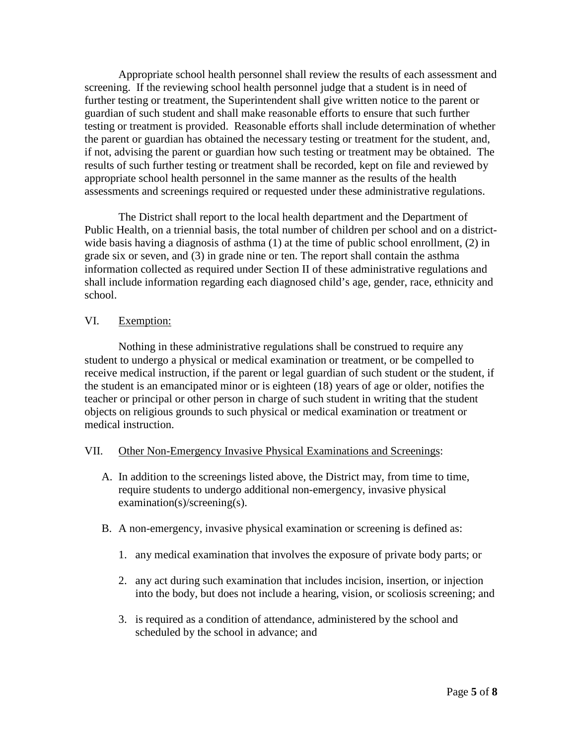Appropriate school health personnel shall review the results of each assessment and screening. If the reviewing school health personnel judge that a student is in need of further testing or treatment, the Superintendent shall give written notice to the parent or guardian of such student and shall make reasonable efforts to ensure that such further testing or treatment is provided. Reasonable efforts shall include determination of whether the parent or guardian has obtained the necessary testing or treatment for the student, and, if not, advising the parent or guardian how such testing or treatment may be obtained. The results of such further testing or treatment shall be recorded, kept on file and reviewed by appropriate school health personnel in the same manner as the results of the health assessments and screenings required or requested under these administrative regulations.

The District shall report to the local health department and the Department of Public Health, on a triennial basis, the total number of children per school and on a districtwide basis having a diagnosis of asthma (1) at the time of public school enrollment, (2) in grade six or seven, and (3) in grade nine or ten. The report shall contain the asthma information collected as required under Section II of these administrative regulations and shall include information regarding each diagnosed child's age, gender, race, ethnicity and school.

## VI. Exemption:

Nothing in these administrative regulations shall be construed to require any student to undergo a physical or medical examination or treatment, or be compelled to receive medical instruction, if the parent or legal guardian of such student or the student, if the student is an emancipated minor or is eighteen (18) years of age or older, notifies the teacher or principal or other person in charge of such student in writing that the student objects on religious grounds to such physical or medical examination or treatment or medical instruction.

# VII. Other Non-Emergency Invasive Physical Examinations and Screenings:

- A. In addition to the screenings listed above, the District may, from time to time, require students to undergo additional non-emergency, invasive physical examination(s)/screening(s).
- B. A non-emergency, invasive physical examination or screening is defined as:
	- 1. any medical examination that involves the exposure of private body parts; or
	- 2. any act during such examination that includes incision, insertion, or injection into the body, but does not include a hearing, vision, or scoliosis screening; and
	- 3. is required as a condition of attendance, administered by the school and scheduled by the school in advance; and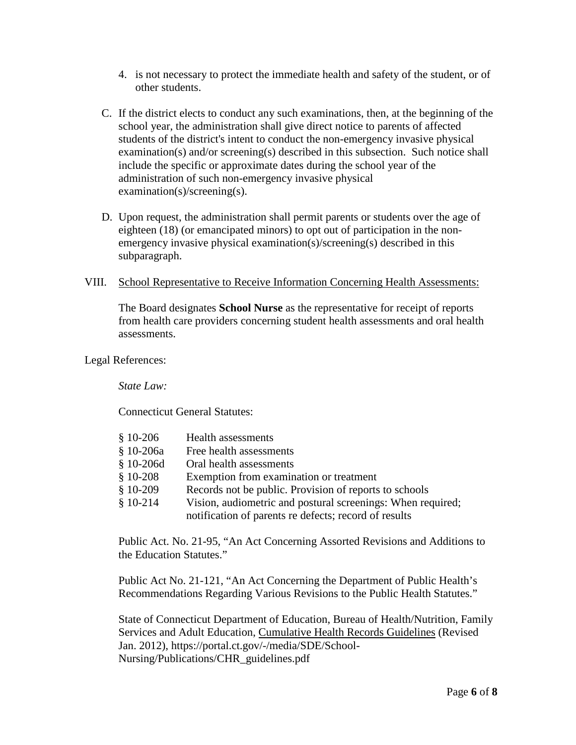- 4. is not necessary to protect the immediate health and safety of the student, or of other students.
- C. If the district elects to conduct any such examinations, then, at the beginning of the school year, the administration shall give direct notice to parents of affected students of the district's intent to conduct the non-emergency invasive physical examination(s) and/or screening(s) described in this subsection. Such notice shall include the specific or approximate dates during the school year of the administration of such non-emergency invasive physical examination(s)/screening(s).
- D. Upon request, the administration shall permit parents or students over the age of eighteen (18) (or emancipated minors) to opt out of participation in the nonemergency invasive physical examination(s)/screening(s) described in this subparagraph.

### VIII. School Representative to Receive Information Concerning Health Assessments:

The Board designates **School Nurse** as the representative for receipt of reports from health care providers concerning student health assessments and oral health assessments.

### Legal References:

*State Law:*

Connecticut General Statutes:

| $$10-206$  | <b>Health assessments</b>                                   |
|------------|-------------------------------------------------------------|
| § 10-206a  | Free health assessments                                     |
| $$10-206d$ | Oral health assessments                                     |
| $$10-208$  | Exemption from examination or treatment                     |
| $$10-209$  | Records not be public. Provision of reports to schools      |
| $$10-214$  | Vision, audiometric and postural screenings: When required; |
|            | notification of parents re defects; record of results       |

Public Act. No. 21-95, "An Act Concerning Assorted Revisions and Additions to the Education Statutes."

Public Act No. 21-121, "An Act Concerning the Department of Public Health's Recommendations Regarding Various Revisions to the Public Health Statutes."

State of Connecticut Department of Education, Bureau of Health/Nutrition, Family Services and Adult Education, Cumulative Health Records Guidelines (Revised Jan. 2012), https://portal.ct.gov/-/media/SDE/School-Nursing/Publications/CHR\_guidelines.pdf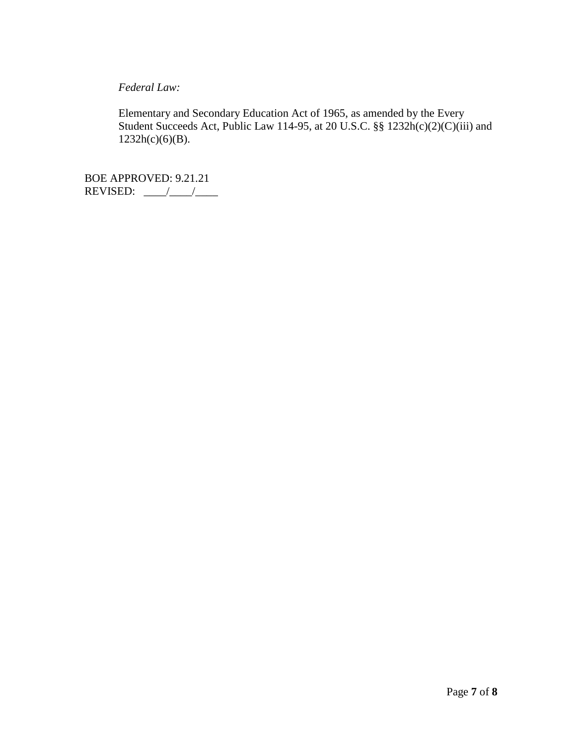*Federal Law:*

Elementary and Secondary Education Act of 1965, as amended by the Every Student Succeeds Act, Public Law 114-95, at 20 U.S.C. §§ 1232h(c)(2)(C)(iii) and  $1232h(c)(6)(B)$ .

BOE APPROVED: 9.21.21 REVISED:  $\frac{\sqrt{1-\frac{1}{2}}}{\sqrt{1-\frac{1}{2}}}}$